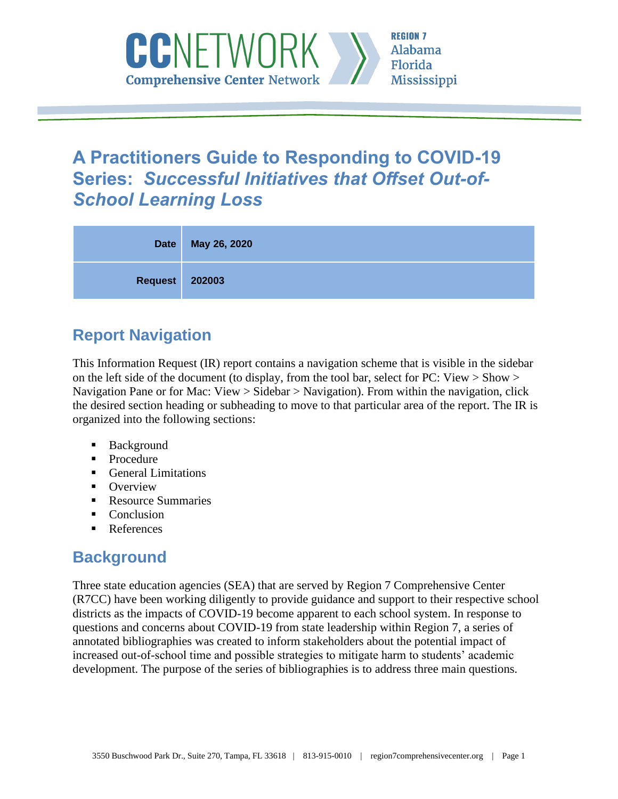

# **A Practitioners Guide to Responding to COVID-19 Series:** *Successful Initiatives that Offset Out-of-School Learning Loss*

| <b>Date</b>    | May 26, 2020 |
|----------------|--------------|
| Request 202003 |              |

# **Report Navigation**

This Information Request (IR) report contains a navigation scheme that is visible in the sidebar on the left side of the document (to display, from the tool bar, select for PC: View  $>$  Show  $>$ Navigation Pane or for Mac: View > Sidebar > Navigation). From within the navigation, click the desired section heading or subheading to move to that particular area of the report. The IR is organized into the following sections:

- **Background**
- Procedure
- General Limitations
- Overview
- Resource Summaries
- Conclusion
- References

# **Background**

Three state education agencies (SEA) that are served by Region 7 Comprehensive Center (R7CC) have been working diligently to provide guidance and support to their respective school districts as the impacts of COVID-19 become apparent to each school system. In response to questions and concerns about COVID-19 from state leadership within Region 7, a series of annotated bibliographies was created to inform stakeholders about the potential impact of increased out-of-school time and possible strategies to mitigate harm to students' academic development. The purpose of the series of bibliographies is to address three main questions.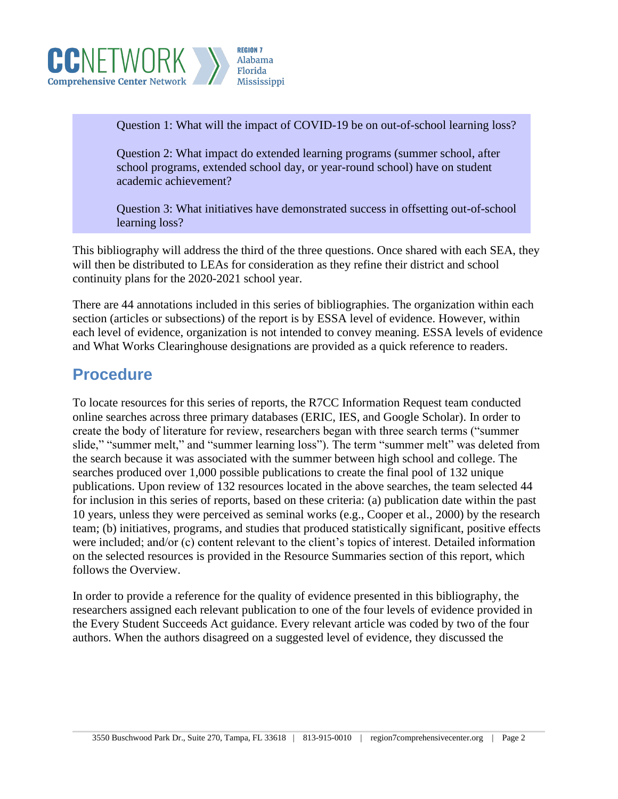

Question 1: What will the impact of COVID-19 be on out-of-school learning loss?

Question 2: What impact do extended learning programs (summer school, after school programs, extended school day, or year-round school) have on student academic achievement?

Question 3: What initiatives have demonstrated success in offsetting out-of-school learning loss?

This bibliography will address the third of the three questions. Once shared with each SEA, they will then be distributed to LEAs for consideration as they refine their district and school continuity plans for the 2020-2021 school year.

There are 44 annotations included in this series of bibliographies. The organization within each section (articles or subsections) of the report is by ESSA level of evidence. However, within each level of evidence, organization is not intended to convey meaning. ESSA levels of evidence and What Works Clearinghouse designations are provided as a quick reference to readers.

## **Procedure**

To locate resources for this series of reports, the R7CC Information Request team conducted online searches across three primary databases (ERIC, IES, and Google Scholar). In order to create the body of literature for review, researchers began with three search terms ("summer slide," "summer melt," and "summer learning loss"). The term "summer melt" was deleted from the search because it was associated with the summer between high school and college. The searches produced over 1,000 possible publications to create the final pool of 132 unique publications. Upon review of 132 resources located in the above searches, the team selected 44 for inclusion in this series of reports, based on these criteria: (a) publication date within the past 10 years, unless they were perceived as seminal works (e.g., Cooper et al., 2000) by the research team; (b) initiatives, programs, and studies that produced statistically significant, positive effects were included; and/or (c) content relevant to the client's topics of interest. Detailed information on the selected resources is provided in the Resource Summaries section of this report, which follows the Overview.

In order to provide a reference for the quality of evidence presented in this bibliography, the researchers assigned each relevant publication to one of the four levels of evidence provided in the Every Student Succeeds Act guidance. Every relevant article was coded by two of the four authors. When the authors disagreed on a suggested level of evidence, they discussed the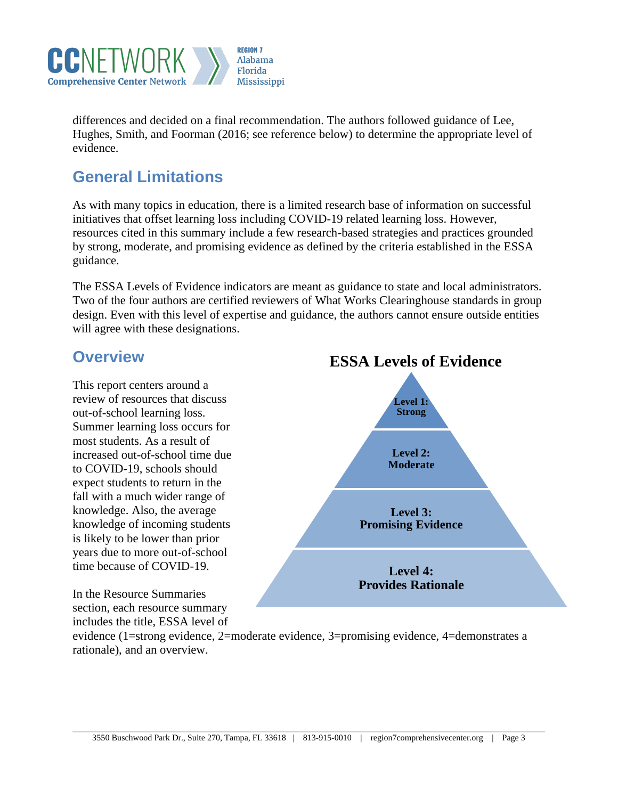

differences and decided on a final recommendation. The authors followed guidance of Lee, Hughes, Smith, and Foorman (2016; see reference below) to determine the appropriate level of evidence.

# **General Limitations**

As with many topics in education, there is a limited research base of information on successful initiatives that offset learning loss including COVID-19 related learning loss. However, resources cited in this summary include a few research-based strategies and practices grounded by strong, moderate, and promising evidence as defined by the criteria established in the ESSA guidance.

The ESSA Levels of Evidence indicators are meant as guidance to state and local administrators. Two of the four authors are certified reviewers of What Works Clearinghouse standards in group design. Even with this level of expertise and guidance, the authors cannot ensure outside entities will agree with these designations.

## **Overview**

This report centers around a review of resources that discuss out-of-school learning loss. Summer learning loss occurs for most students. As a result of increased out-of-school time due to COVID-19, schools should expect students to return in the fall with a much wider range of knowledge. Also, the average knowledge of incoming students is likely to be lower than prior years due to more out-of-school time because of COVID-19.

In the Resource Summaries section, each resource summary includes the title, ESSA level of



evidence (1=strong evidence, 2=moderate evidence, 3=promising evidence, 4=demonstrates a rationale), and an overview.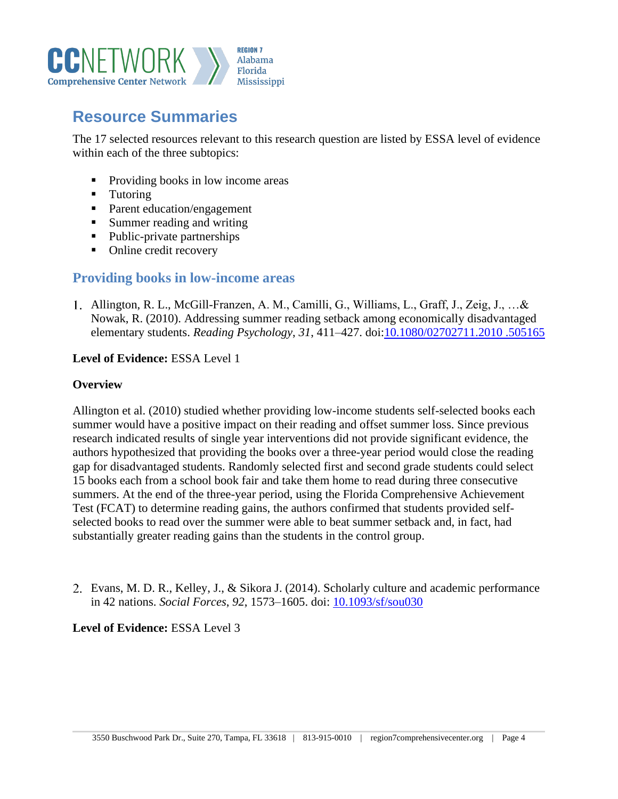

# **Resource Summaries**

The 17 selected resources relevant to this research question are listed by ESSA level of evidence within each of the three subtopics:

- Providing books in low income areas
- Tutoring
- Parent education/engagement
- Summer reading and writing
- Public-private partnerships
- Online credit recovery

## **Providing books in low-income areas**

Allington, R. L., McGill-Franzen, A. M., Camilli, G., Williams, L., Graff, J., Zeig, J., …& Nowak, R. (2010). Addressing summer reading setback among economically disadvantaged elementary students. *Reading Psychology*, *31*, 411–427. doi[:10.1080/02702711.2010 .505165](https://doi.org/10.1080/02702711.2010%20.505165) 

#### **Level of Evidence:** ESSA Level 1

#### **Overview**

Allington et al. (2010) studied whether providing low-income students self-selected books each summer would have a positive impact on their reading and offset summer loss. Since previous research indicated results of single year interventions did not provide significant evidence, the authors hypothesized that providing the books over a three-year period would close the reading gap for disadvantaged students. Randomly selected first and second grade students could select 15 books each from a school book fair and take them home to read during three consecutive summers. At the end of the three-year period, using the Florida Comprehensive Achievement Test (FCAT) to determine reading gains, the authors confirmed that students provided selfselected books to read over the summer were able to beat summer setback and, in fact, had substantially greater reading gains than the students in the control group.

Evans, M. D. R., Kelley, J., & Sikora J. (2014). Scholarly culture and academic performance in 42 nations. *Social Forces*, *92*, 1573–1605. doi: [10.1093/sf/sou030](https://doi.org/10.1093/sf/sou030)

## **Level of Evidence:** ESSA Level 3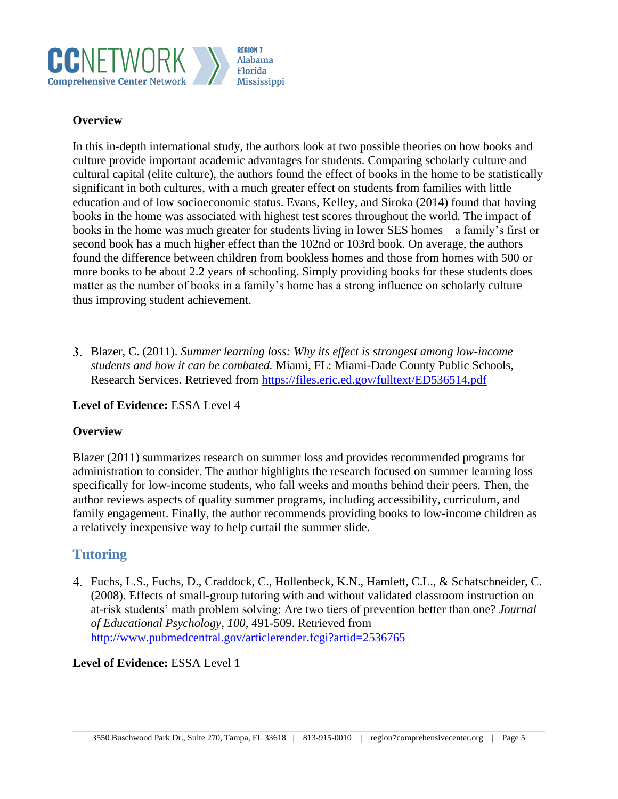

### **Overview**

In this in-depth international study, the authors look at two possible theories on how books and culture provide important academic advantages for students. Comparing scholarly culture and cultural capital (elite culture), the authors found the effect of books in the home to be statistically significant in both cultures, with a much greater effect on students from families with little education and of low socioeconomic status. Evans, Kelley, and Siroka (2014) found that having books in the home was associated with highest test scores throughout the world. The impact of books in the home was much greater for students living in lower SES homes – a family's first or second book has a much higher effect than the 102nd or 103rd book. On average, the authors found the difference between children from bookless homes and those from homes with 500 or more books to be about 2.2 years of schooling. Simply providing books for these students does matter as the number of books in a family's home has a strong influence on scholarly culture thus improving student achievement.

Blazer, C. (2011). *Summer learning loss: Why its effect is strongest among low-income students and how it can be combated.* Miami, FL: Miami-Dade County Public Schools, Research Services. Retrieved from<https://files.eric.ed.gov/fulltext/ED536514.pdf>

#### **Level of Evidence:** ESSA Level 4

## **Overview**

Blazer (2011) summarizes research on summer loss and provides recommended programs for administration to consider. The author highlights the research focused on summer learning loss specifically for low-income students, who fall weeks and months behind their peers. Then, the author reviews aspects of quality summer programs, including accessibility, curriculum, and family engagement. Finally, the author recommends providing books to low-income children as a relatively inexpensive way to help curtail the summer slide.

## **Tutoring**

Fuchs, L.S., Fuchs, D., Craddock, C., Hollenbeck, K.N., Hamlett, C.L., & Schatschneider, C. (2008). Effects of small-group tutoring with and without validated classroom instruction on at-risk students' math problem solving: Are two tiers of prevention better than one? *Journal of Educational Psychology, 100*, 491-509. Retrieved from <http://www.pubmedcentral.gov/articlerender.fcgi?artid=2536765>

#### **Level of Evidence:** ESSA Level 1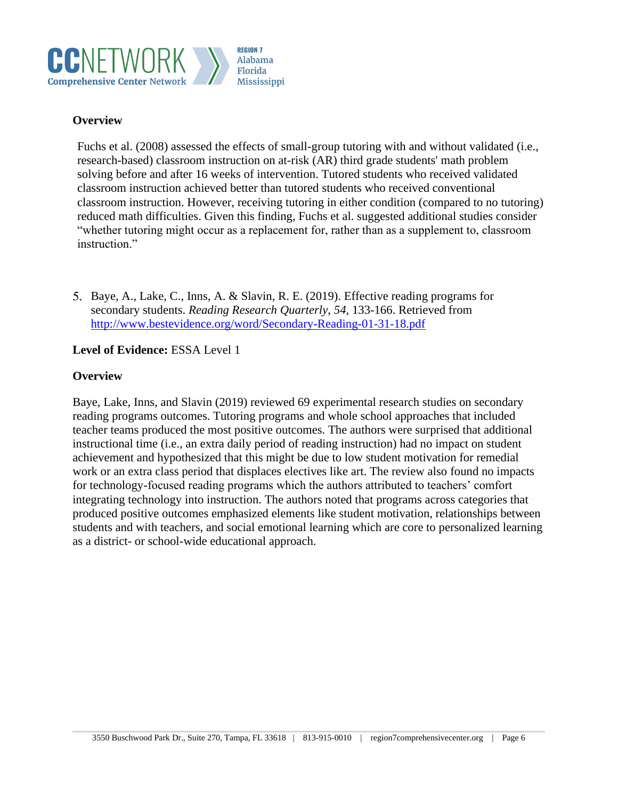

#### **Overview**

Fuchs et al. (2008) assessed the effects of small-group tutoring with and without validated (i.e., research-based) classroom instruction on at-risk (AR) third grade students' math problem solving before and after 16 weeks of intervention. Tutored students who received validated classroom instruction achieved better than tutored students who received conventional classroom instruction. However, receiving tutoring in either condition (compared to no tutoring) reduced math difficulties. Given this finding, Fuchs et al. suggested additional studies consider "whether tutoring might occur as a replacement for, rather than as a supplement to, classroom instruction."

Baye, A., Lake, C., Inns, A. & Slavin, R. E. (2019). Effective reading programs for secondary students. *Reading Research Quarterly*, *54*, 133-166. Retrieved from <http://www.bestevidence.org/word/Secondary-Reading-01-31-18.pdf>

#### **Level of Evidence:** ESSA Level 1

#### **Overview**

Baye, Lake, Inns, and Slavin (2019) reviewed 69 experimental research studies on secondary reading programs outcomes. Tutoring programs and whole school approaches that included teacher teams produced the most positive outcomes. The authors were surprised that additional instructional time (i.e., an extra daily period of reading instruction) had no impact on student achievement and hypothesized that this might be due to low student motivation for remedial work or an extra class period that displaces electives like art. The review also found no impacts for technology-focused reading programs which the authors attributed to teachers' comfort integrating technology into instruction. The authors noted that programs across categories that produced positive outcomes emphasized elements like student motivation, relationships between students and with teachers, and social emotional learning which are core to personalized learning as a district- or school-wide educational approach.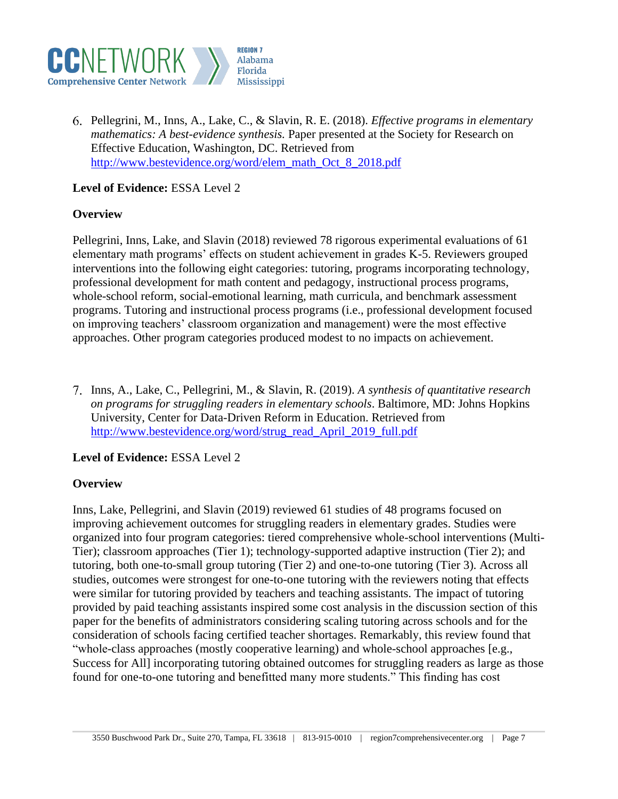

Pellegrini, M., Inns, A., Lake, C., & Slavin, R. E. (2018). *Effective programs in elementary mathematics: A best-evidence synthesis.* Paper presented at the Society for Research on Effective Education, Washington, DC. Retrieved from [http://www.bestevidence.org/word/elem\\_math\\_Oct\\_8\\_2018.pdf](http://www.bestevidence.org/word/elem_math_Oct_8_2018.pdf)

## **Level of Evidence:** ESSA Level 2

#### **Overview**

Pellegrini, Inns, Lake, and Slavin (2018) reviewed 78 rigorous experimental evaluations of 61 elementary math programs' effects on student achievement in grades K-5. Reviewers grouped interventions into the following eight categories: tutoring, programs incorporating technology, professional development for math content and pedagogy, instructional process programs, whole-school reform, social-emotional learning, math curricula, and benchmark assessment programs. Tutoring and instructional process programs (i.e., professional development focused on improving teachers' classroom organization and management) were the most effective approaches. Other program categories produced modest to no impacts on achievement.

Inns, A., Lake, C., Pellegrini, M., & Slavin, R. (2019). *A synthesis of quantitative research on programs for struggling readers in elementary schools*. Baltimore, MD: Johns Hopkins University, Center for Data-Driven Reform in Education. Retrieved from [http://www.bestevidence.org/word/strug\\_read\\_April\\_2019\\_full.pdf](http://www.bestevidence.org/word/strug_read_April_2019_full.pdf)

## **Level of Evidence:** ESSA Level 2

## **Overview**

Inns, Lake, Pellegrini, and Slavin (2019) reviewed 61 studies of 48 programs focused on improving achievement outcomes for struggling readers in elementary grades. Studies were organized into four program categories: tiered comprehensive whole-school interventions (Multi-Tier); classroom approaches (Tier 1); technology-supported adaptive instruction (Tier 2); and tutoring, both one-to-small group tutoring (Tier 2) and one-to-one tutoring (Tier 3). Across all studies, outcomes were strongest for one-to-one tutoring with the reviewers noting that effects were similar for tutoring provided by teachers and teaching assistants. The impact of tutoring provided by paid teaching assistants inspired some cost analysis in the discussion section of this paper for the benefits of administrators considering scaling tutoring across schools and for the consideration of schools facing certified teacher shortages. Remarkably, this review found that "whole-class approaches (mostly cooperative learning) and whole-school approaches [e.g., Success for All] incorporating tutoring obtained outcomes for struggling readers as large as those found for one-to-one tutoring and benefitted many more students." This finding has cost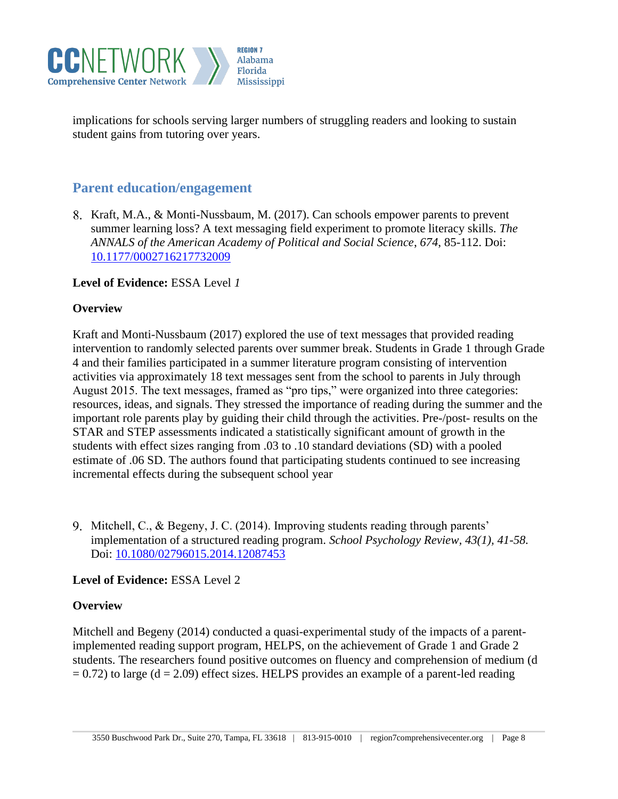

implications for schools serving larger numbers of struggling readers and looking to sustain student gains from tutoring over years.

## **Parent education/engagement**

8. Kraft, M.A., & Monti-Nussbaum, M. (2017). Can schools empower parents to prevent summer learning loss? A text messaging field experiment to promote literacy skills. *The ANNALS of the American Academy of Political and Social Science*, *674*, 85-112. Doi: [10.1177/0002716217732009](https://doi.org/10.1177/0002716217732009)

#### **Level of Evidence:** ESSA Level *1*

#### **Overview**

Kraft and Monti-Nussbaum (2017) explored the use of text messages that provided reading intervention to randomly selected parents over summer break. Students in Grade 1 through Grade 4 and their families participated in a summer literature program consisting of intervention activities via approximately 18 text messages sent from the school to parents in July through August 2015. The text messages, framed as "pro tips," were organized into three categories: resources, ideas, and signals. They stressed the importance of reading during the summer and the important role parents play by guiding their child through the activities. Pre-/post- results on the STAR and STEP assessments indicated a statistically significant amount of growth in the students with effect sizes ranging from .03 to .10 standard deviations (SD) with a pooled estimate of .06 SD. The authors found that participating students continued to see increasing incremental effects during the subsequent school year

9. Mitchell, C., & Begeny, J. C. (2014). Improving students reading through parents' implementation of a structured reading program. *School Psychology Review, 43(1), 41-58.* Doi: [10.1080/02796015.2014.12087453](https://doi.org/10.1080/02796015.2014.12087453)

#### **Level of Evidence:** ESSA Level 2

#### **Overview**

Mitchell and Begeny (2014) conducted a quasi-experimental study of the impacts of a parentimplemented reading support program, HELPS, on the achievement of Grade 1 and Grade 2 students. The researchers found positive outcomes on fluency and comprehension of medium (d  $= 0.72$ ) to large (d  $= 2.09$ ) effect sizes. HELPS provides an example of a parent-led reading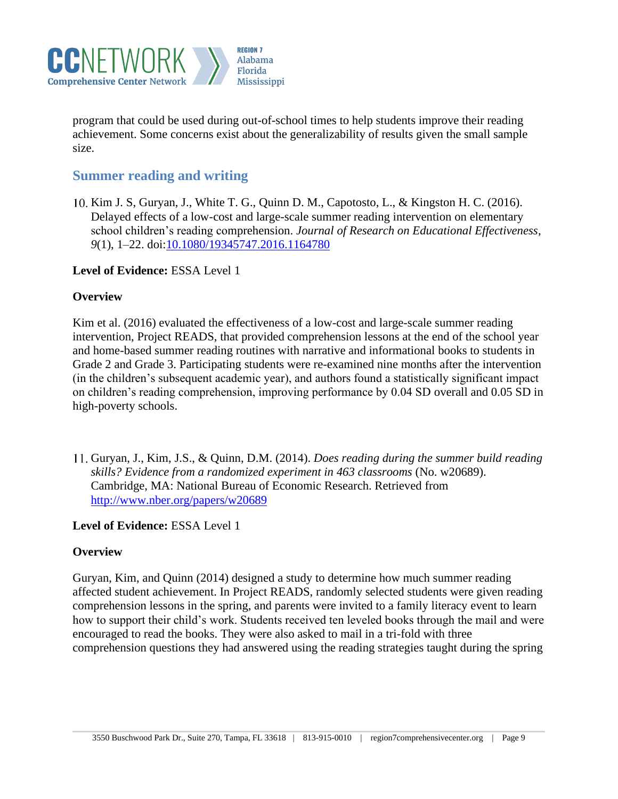

program that could be used during out-of-school times to help students improve their reading achievement. Some concerns exist about the generalizability of results given the small sample size.

## **Summer reading and writing**

10. Kim J. S, Guryan, J., White T. G., Quinn D. M., Capotosto, L., & Kingston H. C. (2016). Delayed effects of a low-cost and large-scale summer reading intervention on elementary school children's reading comprehension. *Journal of Research on Educational Effectiveness*, *9*(1), 1–22. doi[:10.1080/19345747.2016.1164780](https://doi.org/10.1080/19345747.2016.1164780)

#### **Level of Evidence:** ESSA Level 1

#### **Overview**

Kim et al. (2016) evaluated the effectiveness of a low-cost and large-scale summer reading intervention, Project READS, that provided comprehension lessons at the end of the school year and home-based summer reading routines with narrative and informational books to students in Grade 2 and Grade 3. Participating students were re-examined nine months after the intervention (in the children's subsequent academic year), and authors found a statistically significant impact on children's reading comprehension, improving performance by 0.04 SD overall and 0.05 SD in high-poverty schools.

Guryan, J., Kim, J.S., & Quinn, D.M. (2014). *Does reading during the summer build reading skills? Evidence from a randomized experiment in 463 classrooms* (No. w20689). Cambridge, MA: National Bureau of Economic Research. Retrieved from <http://www.nber.org/papers/w20689>

## **Level of Evidence:** ESSA Level 1

## **Overview**

Guryan, Kim, and Quinn (2014) designed a study to determine how much summer reading affected student achievement. In Project READS, randomly selected students were given reading comprehension lessons in the spring, and parents were invited to a family literacy event to learn how to support their child's work. Students received ten leveled books through the mail and were encouraged to read the books. They were also asked to mail in a tri-fold with three comprehension questions they had answered using the reading strategies taught during the spring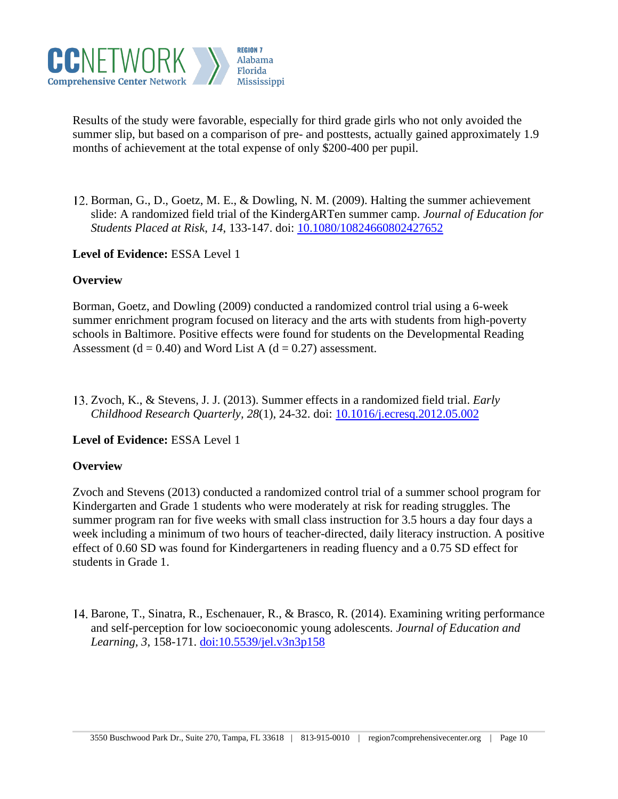

Results of the study were favorable, especially for third grade girls who not only avoided the summer slip, but based on a comparison of pre- and posttests, actually gained approximately 1.9 months of achievement at the total expense of only \$200-400 per pupil.

Borman, G., D., Goetz, M. E., & Dowling, N. M. (2009). Halting the summer achievement slide: A randomized field trial of the KindergARTen summer camp. *Journal of Education for Students Placed at Risk*, *14*, 133-147. doi: [10.1080/10824660802427652](https://doi.org/10.1080/10824660802427652)

**Level of Evidence:** ESSA Level 1

## **Overview**

Borman, Goetz, and Dowling (2009) conducted a randomized control trial using a 6-week summer enrichment program focused on literacy and the arts with students from high-poverty schools in Baltimore. Positive effects were found for students on the Developmental Reading Assessment ( $d = 0.40$ ) and Word List A ( $d = 0.27$ ) assessment.

Zvoch, K., & Stevens, J. J. (2013). Summer effects in a randomized field trial. *Early Childhood Research Quarterly, 28*(1), 24-32. doi: [10.1016/j.ecresq.2012.05.002](https://doi.org/10.1016/j.ecresq.2012.05.002)

## **Level of Evidence:** ESSA Level 1

#### **Overview**

Zvoch and Stevens (2013) conducted a randomized control trial of a summer school program for Kindergarten and Grade 1 students who were moderately at risk for reading struggles. The summer program ran for five weeks with small class instruction for 3.5 hours a day four days a week including a minimum of two hours of teacher-directed, daily literacy instruction. A positive effect of 0.60 SD was found for Kindergarteners in reading fluency and a 0.75 SD effect for students in Grade 1.

Barone, T., Sinatra, R., Eschenauer, R., & Brasco, R. (2014). Examining writing performance and self-perception for low socioeconomic young adolescents. *Journal of Education and Learning, 3*, 158-171. doi[:10.5539/jel.v3n3p158](https://doi.org/10.5539/jel.v3n3p158)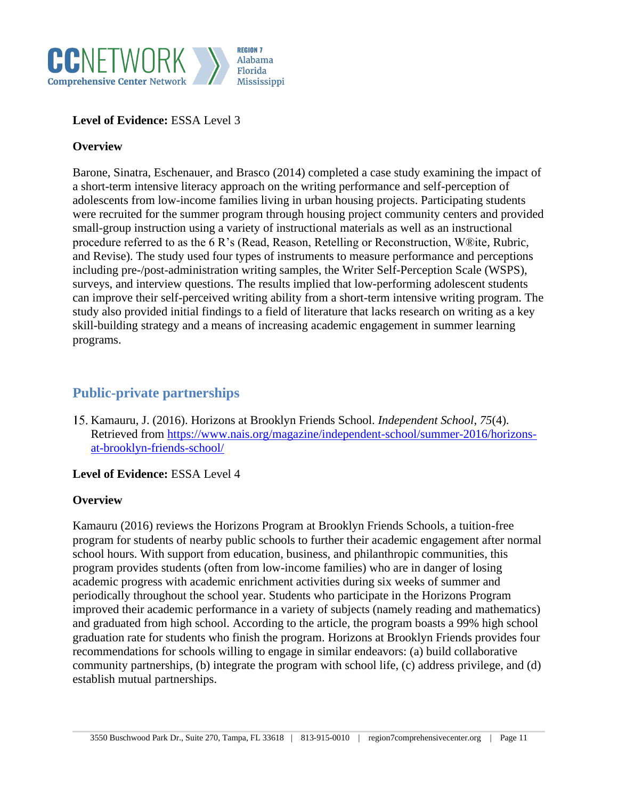

### **Level of Evidence:** ESSA Level 3

### **Overview**

Barone, Sinatra, Eschenauer, and Brasco (2014) completed a case study examining the impact of a short-term intensive literacy approach on the writing performance and self-perception of adolescents from low-income families living in urban housing projects. Participating students were recruited for the summer program through housing project community centers and provided small-group instruction using a variety of instructional materials as well as an instructional procedure referred to as the 6 R's (Read, Reason, Retelling or Reconstruction, W®ite, Rubric, and Revise). The study used four types of instruments to measure performance and perceptions including pre-/post-administration writing samples, the Writer Self-Perception Scale (WSPS), surveys, and interview questions. The results implied that low-performing adolescent students can improve their self-perceived writing ability from a short-term intensive writing program. The study also provided initial findings to a field of literature that lacks research on writing as a key skill-building strategy and a means of increasing academic engagement in summer learning programs.

## **Public-private partnerships**

Kamauru, J. (2016). Horizons at Brooklyn Friends School. *Independent School*, *75*(4). Retrieved from [https://www.nais.org/magazine/independent-school/summer-2016/horizons](https://www.nais.org/magazine/independent-school/summer-2016/horizons-at-brooklyn-friends-school/)[at-brooklyn-friends-school/](https://www.nais.org/magazine/independent-school/summer-2016/horizons-at-brooklyn-friends-school/)

#### **Level of Evidence:** ESSA Level 4

#### **Overview**

Kamauru (2016) reviews the Horizons Program at Brooklyn Friends Schools, a tuition-free program for students of nearby public schools to further their academic engagement after normal school hours. With support from education, business, and philanthropic communities, this program provides students (often from low-income families) who are in danger of losing academic progress with academic enrichment activities during six weeks of summer and periodically throughout the school year. Students who participate in the Horizons Program improved their academic performance in a variety of subjects (namely reading and mathematics) and graduated from high school. According to the article, the program boasts a 99% high school graduation rate for students who finish the program. Horizons at Brooklyn Friends provides four recommendations for schools willing to engage in similar endeavors: (a) build collaborative community partnerships, (b) integrate the program with school life, (c) address privilege, and (d) establish mutual partnerships.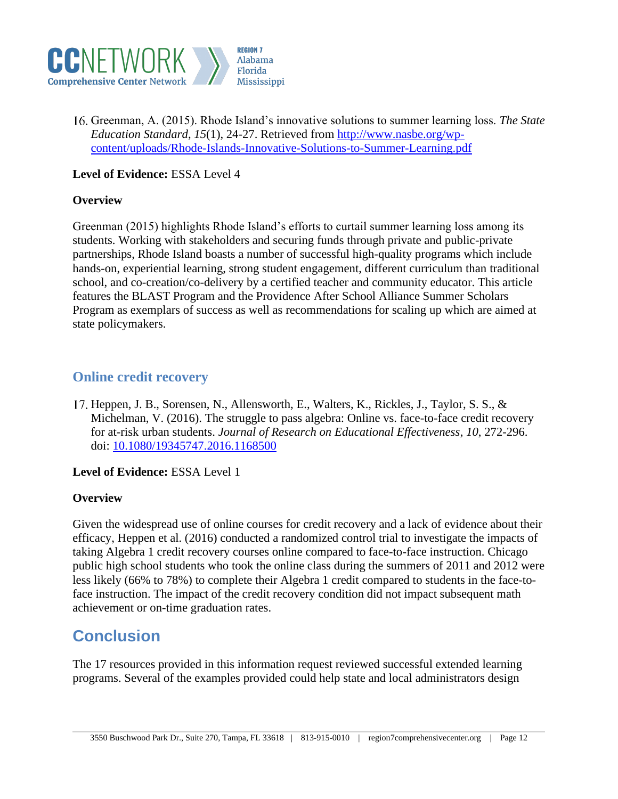

Greenman, A. (2015). Rhode Island's innovative solutions to summer learning loss. *The State Education Standard*, *15*(1), 24-27. Retrieved from [http://www.nasbe.org/wp](http://www.nasbe.org/wp-content/uploads/Rhode-Islands-Innovative-Solutions-to-Summer-Learning.pdf)[content/uploads/Rhode-Islands-Innovative-Solutions-to-Summer-Learning.pdf](http://www.nasbe.org/wp-content/uploads/Rhode-Islands-Innovative-Solutions-to-Summer-Learning.pdf)

## **Level of Evidence:** ESSA Level 4

#### **Overview**

Greenman (2015) highlights Rhode Island's efforts to curtail summer learning loss among its students. Working with stakeholders and securing funds through private and public-private partnerships, Rhode Island boasts a number of successful high-quality programs which include hands-on, experiential learning, strong student engagement, different curriculum than traditional school, and co-creation/co-delivery by a certified teacher and community educator. This article features the BLAST Program and the Providence After School Alliance Summer Scholars Program as exemplars of success as well as recommendations for scaling up which are aimed at state policymakers.

## **Online credit recovery**

17. Heppen, J. B., Sorensen, N., Allensworth, E., Walters, K., Rickles, J., Taylor, S. S., & Michelman, V. (2016). The struggle to pass algebra: Online vs. face-to-face credit recovery for at-risk urban students. *Journal of Research on Educational Effectiveness*, *10*, 272-296. doi: [10.1080/19345747.2016.1168500](https://doi.org/10.1080/19345747.2016.1168500)

**Level of Evidence:** ESSA Level 1

## **Overview**

Given the widespread use of online courses for credit recovery and a lack of evidence about their efficacy, Heppen et al. (2016) conducted a randomized control trial to investigate the impacts of taking Algebra 1 credit recovery courses online compared to face-to-face instruction. Chicago public high school students who took the online class during the summers of 2011 and 2012 were less likely (66% to 78%) to complete their Algebra 1 credit compared to students in the face-toface instruction. The impact of the credit recovery condition did not impact subsequent math achievement or on-time graduation rates.

# **Conclusion**

The 17 resources provided in this information request reviewed successful extended learning programs. Several of the examples provided could help state and local administrators design